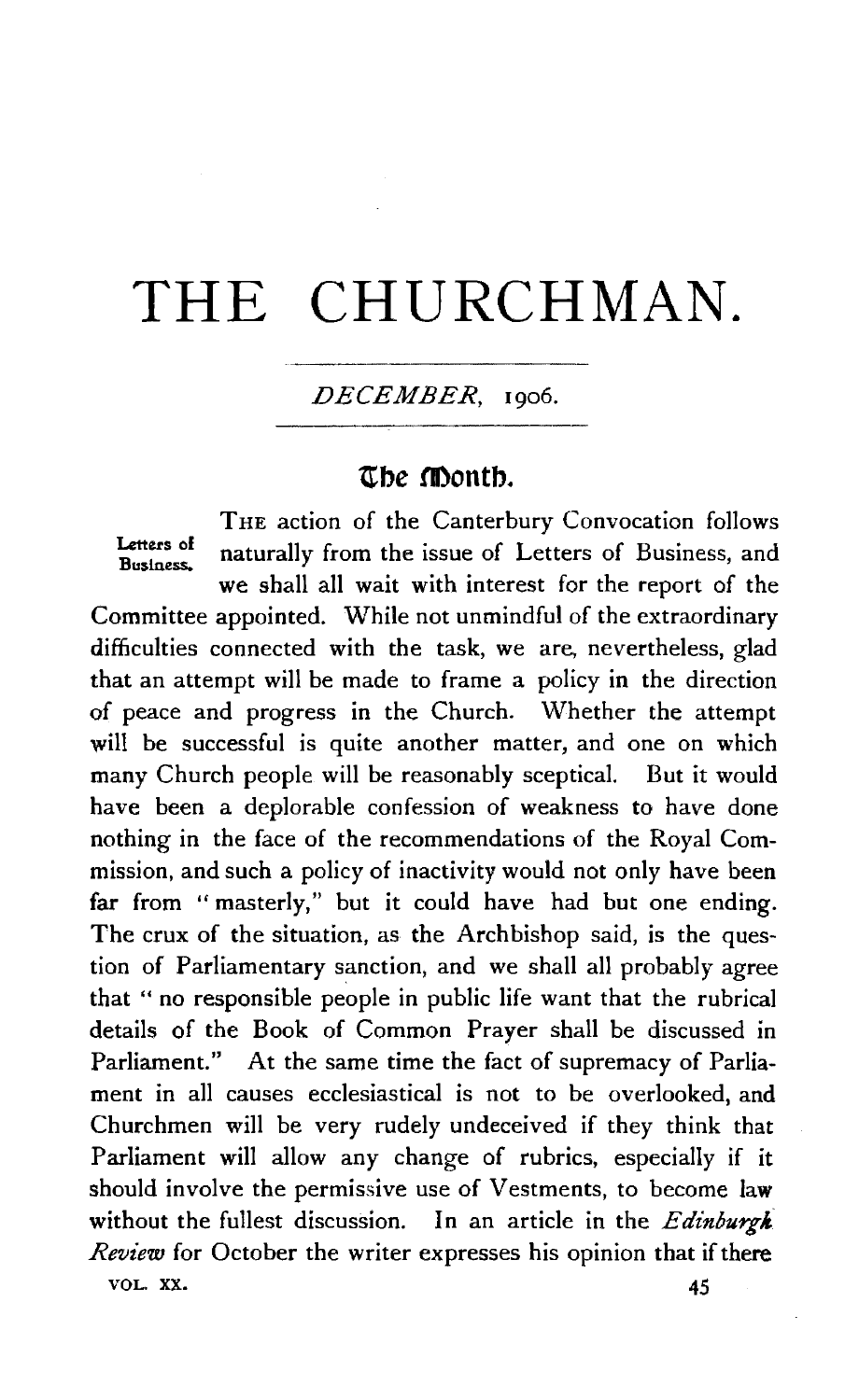# **THE** CHURCHMAN.

*DECEMBER,* 1906.

# **\tbe montb.**

THE action of the Canterbury Convocation follows Letters of naturally from the issue of Letters of Business, and we shall all wait with interest for the report of the Committee appointed. While not unmindful of the extraordinary difficulties connected with the task, we are, nevertheless, glad that an attempt will be made to frame a policy in the direction of peace and progress in the Church. Whether the attempt will be successful is quite another matter, and one on which many Church people will be reasonably sceptical. But it would have been a deplorable confession of weakness to have done nothing in the face of the recommendations of the Royal Commission, and such a policy of inactivity would not only have been far from "masterly," but it could have had but one ending. The crux of the situation, as the Archbishop said, is the question of Parliamentary sanction, and we shall all probably agree that " no responsible people in public life want that the rubrical details of the Book of Common Prayer shall be discussed in Parliament." At the same time the fact of supremacy of Parliament in all causes ecclesiastical is not to be overlooked, and Churchmen will be very rudely undeceived if they think that Parliament will allow any change of rubrics, especially if it should involve the permissive use of Vestments, to become law without the fullest discussion. In an article in the *Edinburgh Review* for October the writer expresses his opinion that if there VOL. XX.  $45$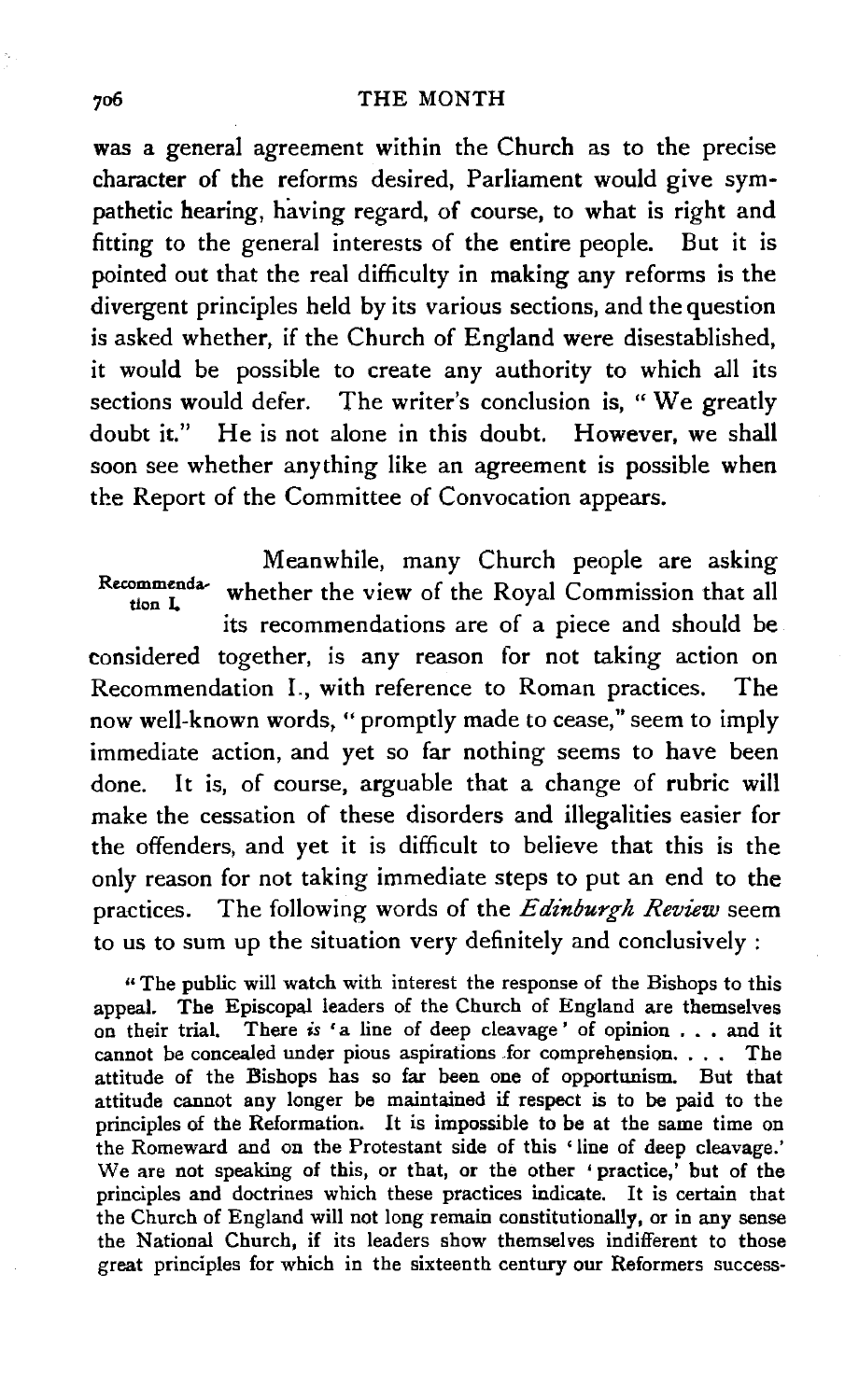was a general agreement within the Church as to the precise character of the reforms desired, Parliament would give sympathetic hearing, having regard, of course, to what is right and fitting to the general interests of the entire people. But it is pointed out that the real difficulty in making any reforms is the divergent principles held by its various sections, and the question is asked whether, if the Church of England were disestablished, it would be possible to create any authority to which all its sections would defer. The writer's conclusion is, " We greatly doubt it." He is not alone in this doubt. However, we shall soon see whether anything like an agreement is possible when the Report of the Committee of Convocation appears.

Meanwhile, many Church people are asking Recommenda- whether the view of the Royal Commission that all its recommendations are of a piece and should be considered together, is any reason for not taking action on Recommendation I., with reference to Roman practices. The now well-known words, " promptly made to cease," seem to imply immediate action, and yet so far nothing seems to have been done. It is, of course, arguable that a change of rubric will make the cessation of these disorders and illegalities easier for the offenders, and yet it is difficult to believe that this is the only reason for not taking immediate steps to put an end to the practices. The following words of the *Edinburgh Review* seem to us to sum up the situation very definitely and conclusively :

"The public will watch with interest the response of the Bishops to this appeal. The Episcopal leaders of the Church of England are themselves on their trial. There *is* 'a line of deep cleavage' of opinion . . . and it cannot be concealed under pious aspirations for comprehension. . . . The attitude of the Bishops has so far been one of opportunism. But that attitude cannot any longer be maintained if respect is to be paid to the principles of the Reformation. It is impossible to be at the same time on the Romeward and on the Protestant side of this 'line of deep cleavage.' We are not speaking of this, or that, or the other 'practice,' but of the principles and doctrines which these practices indicate. It is certain that the Church of England will not long remain constitutionally, or in any sense the National Church, if its leaders show themselves indifferent to those great principles for which in the sixteenth century our Reformers success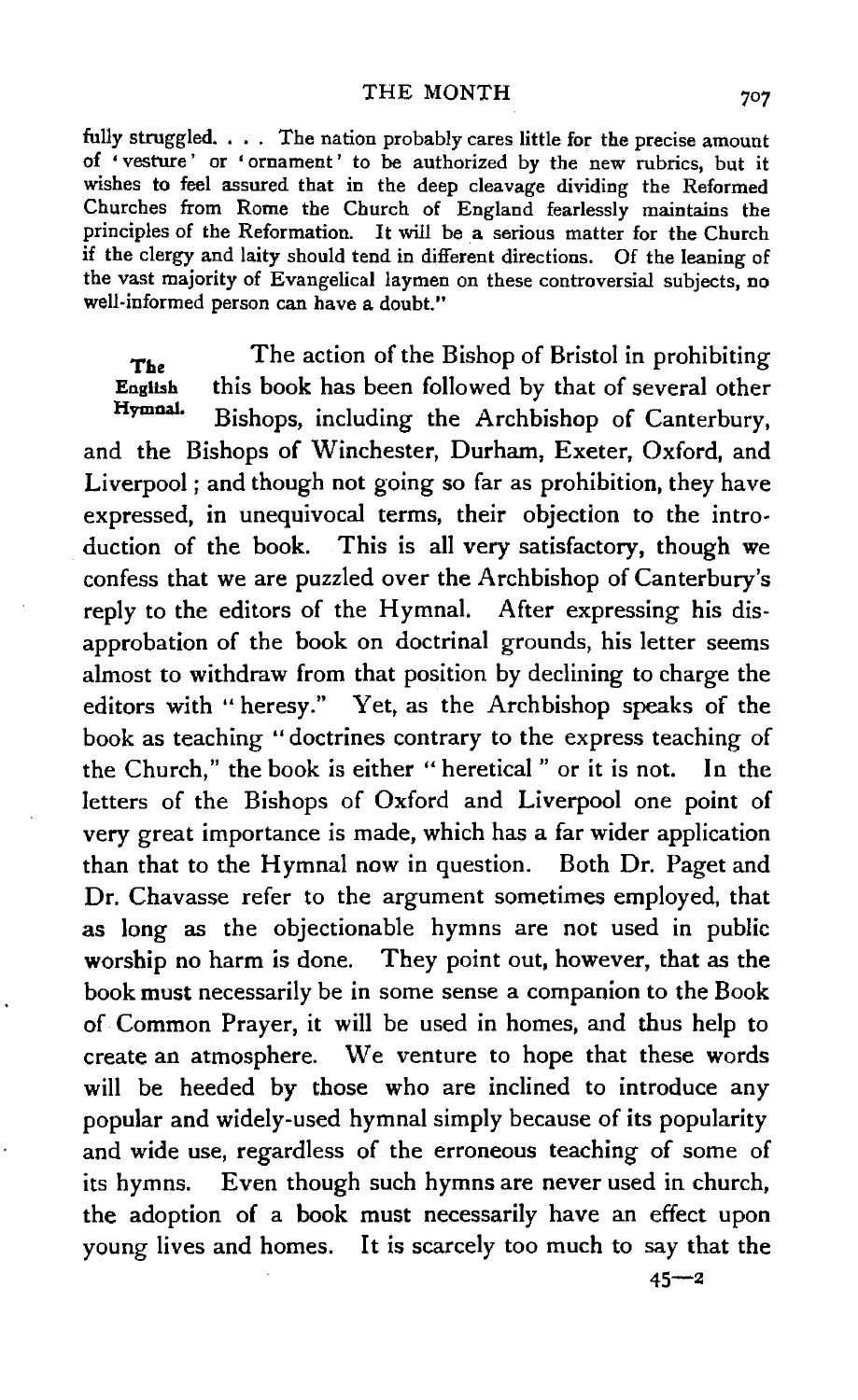fully struggled. . . . The nation probably cares little for the precise amount of 'vesture' or 'ornament' to be authorized by the new rubrics, but it wishes to feel assured that in the deep cleavage dividing the Reformed Churches from Rome the Church of England fearlessly maintains the principles of the Reformation. It will be a serious matter for the Church if the clergy and laity should tend in different directions. Of the leaning of the vast majority of Evangelical laymen on these controversial subjects, no well-informed person can have a doubt."

The English HymnaL The action of the Bishop of Bristol in prohibiting this book has been followed by that of several other Bishops, including the Archbishop of Canterbury, and the Bishops of Winchester, Durham, Exeter, Oxford, and Liverpool; and though not going so far as prohibition, they have expressed, in unequivocal terms, their objection to the introduction of the book. This is all very satisfactory, though we confess that we are puzzled over the Archbishop of Canterbury's reply to the editors of the Hymnal. After expressing his disapprobation of the book on doctrinal grounds, his letter seems almost to withdraw from that position by declining to charge the editors with "heresy." Yet, as the Archbishop speaks of the book as teaching "doctrines contrary to the express teaching of the Church," the book is either "heretical" or it is not. In the letters of the Bishops of Oxford and Liverpool one point of very great importance is made, which has a far wider application than that to the Hymnal now in question. Both Dr. Paget and Dr. Chavasse refer to the argument sometimes employed, that as long as the objectionable hymns are not used in public worship no harm is done. They point out, however, that as the book must necessarily be in some sense a companion to the Book of Common Prayer, it will be used in homes, and thus help to create an atmosphere. We venture to hope that these words will be heeded by those who are inclined to introduce any popular and widely-used hymnal simply because of its popularity and wide use, regardless of the erroneous teaching of some of its hymns. Even though such hymns are never used in church, the adoption of a book must necessarily have an effect upon young lives and homes. It is scarcely too much to say that the

707

 $45 - 2$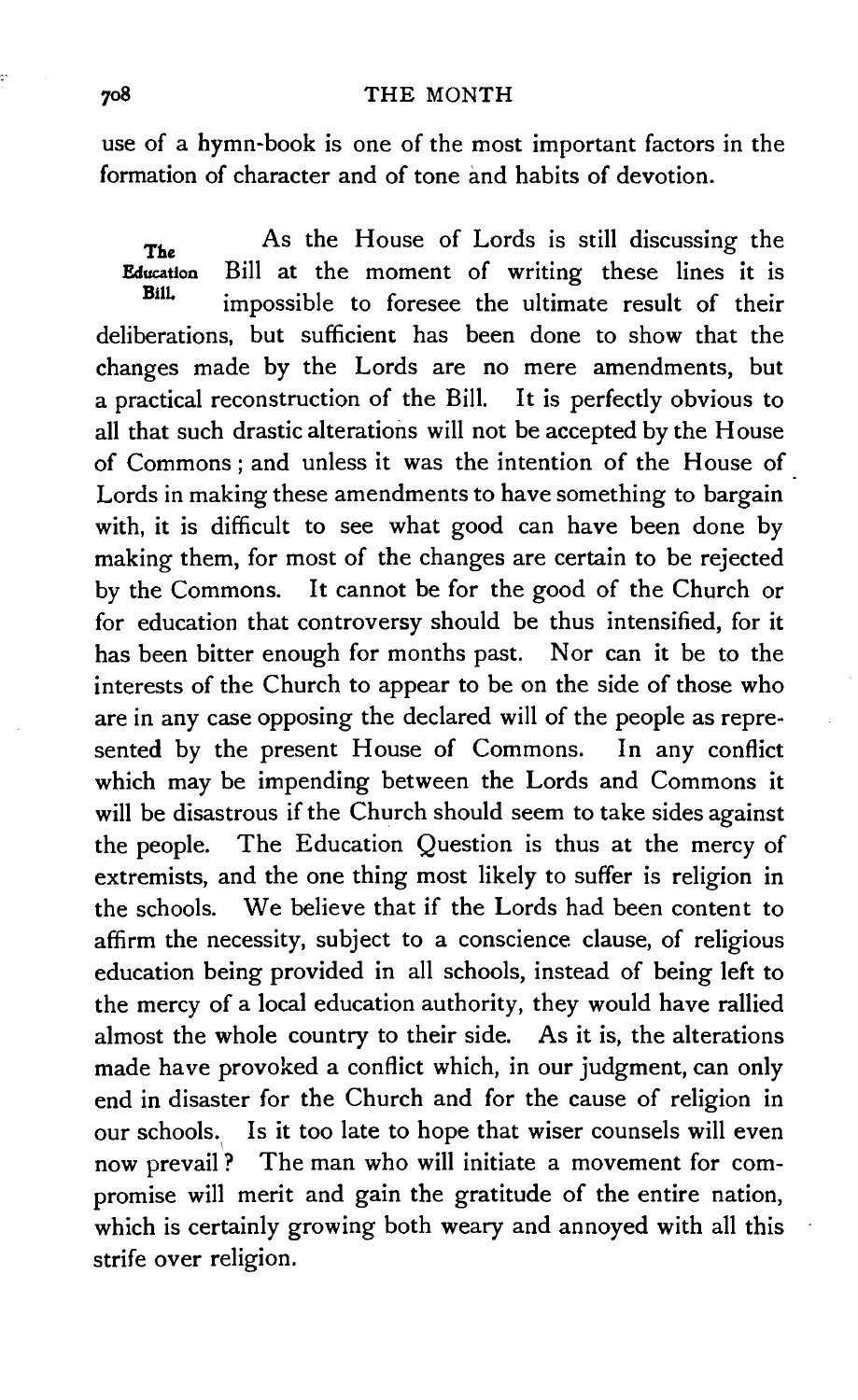use of a hymn-book is one of the most important factors in the formation of character and of tone and habits of devotion.

The Education BilL As the House of Lords is still discussing the Bill at the moment of writing these lines it is impossible to foresee the ultimate result of their deliberations, but sufficient has been done to show that the changes made by the Lords are no mere amendments, but a practical reconstruction of the Bill. It is perfectly obvious to all that such drastic alterations will not be accepted by the House of Commons; and unless it was the intention of the House of Lords in making these amendments to have something to bargain with, it is difficult to see what good can have been done by making them, for most of the changes are certain to be rejected by the Commons. It cannot be for the good of the Church or for education that controversy should be thus intensified, for it has been bitter enough for months past. Nor can it be to the interests of the Church to appear to be on the side of those who are in any case opposing the declared will of the people as represented by the present House of Commons. In any conflict which may be impending between the Lords and Commons it will be disastrous if the Church should seem to take sides against the people. The Education Question is thus at the mercy of extremists, and the one thing most likely to suffer is religion in the schools. We believe that if the Lords had been content to affirm the necessity, subject to a conscience clause, of religious education being provided in all schools, instead of being left to the mercy of a local education authority, they would have rallied almost the whole country to their side. As it is, the alterations made have provoked a conflict which, in our judgment, can only end in disaster for the Church and for the cause of religion in our schools. Is it too late to hope that wiser counsels will even \ now prevail? The man who will initiate a movement for compromise will merit and gain the gratitude of the entire nation, which is certainly growing both weary and annoyed with all this strife over religion.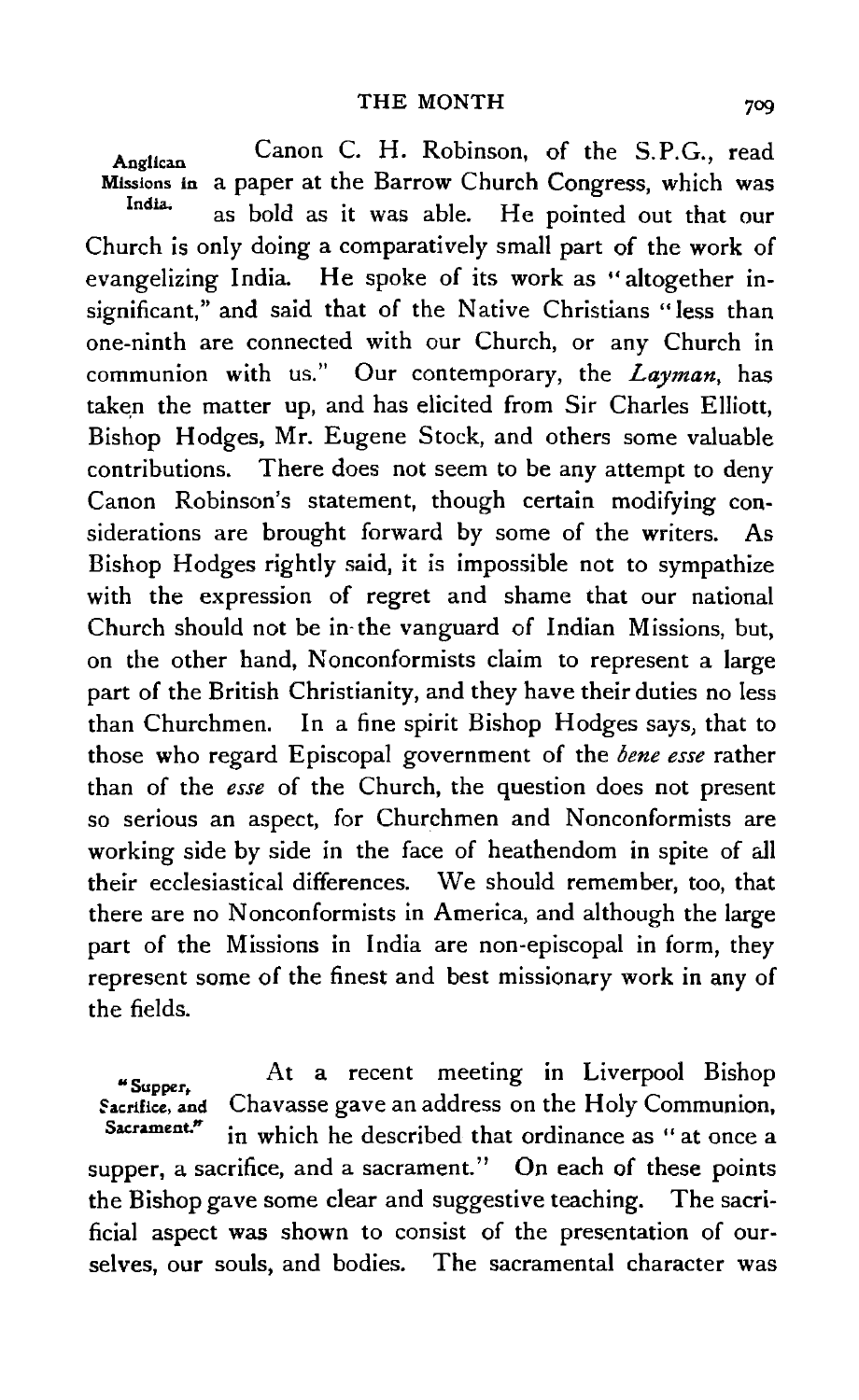Anglican Missions in a paper at the Barrow Church Congress, which was India. Canon C. H. Robinson, of the S.P.G., read as bold as it was able. He pointed out that our Church is only doing a comparatively small part of the work of evangelizing India. He spoke of its work as "altogether insignificant," and said that of the Native Christians "less than one-ninth are connected with our Church, or any Church in communion with us." Our contemporary, the *Layman,* has taken the matter up, and has elicited from Sir Charles Elliott, Bishop Hodges, Mr. Eugene Stock, and others some valuable contributions. There does not seem to be any attempt to deny Canon Robinson's statement, though certain modifying considerations are brought forward by some of the writers. As Bishop Hodges rightly said, it is impossible not to sympathize with the expression of regret and shame that our national Church should not be in· the vanguard of Indian Missions, but, on the other hand, Nonconformists claim to represent a large part of the British Christianity, and they have their duties no less than Churchmen. In a fine spirit Bishop Hodges says, that to those who regard Episcopal government of the *bene esse* rather than of the *esse* of the Church, the question does not present so serious an aspect, for Churchmen and Nonconformists are working side by side in the face of heathendom in spite of all their ecclesiastical differences. We should remember, too, that there are no Nonconformists in America, and although the large part of the Missions in India are non-episcopal in form, they represent some of the finest and best missionary work in any of the fields.

.. Supper, Sacrifice, and Sacrament." At a recent meeting in Liverpool Bishop Chavasse gave an address on the Holy Communion, in which he described that ordinance as " at once a supper, a sacrifice, and a sacrament." On each of these points the Bishop gave some clear and suggestive teaching. The sacrificial aspect was shown to consist of the presentation of ourselves, our souls, and bodies. The sacramental character was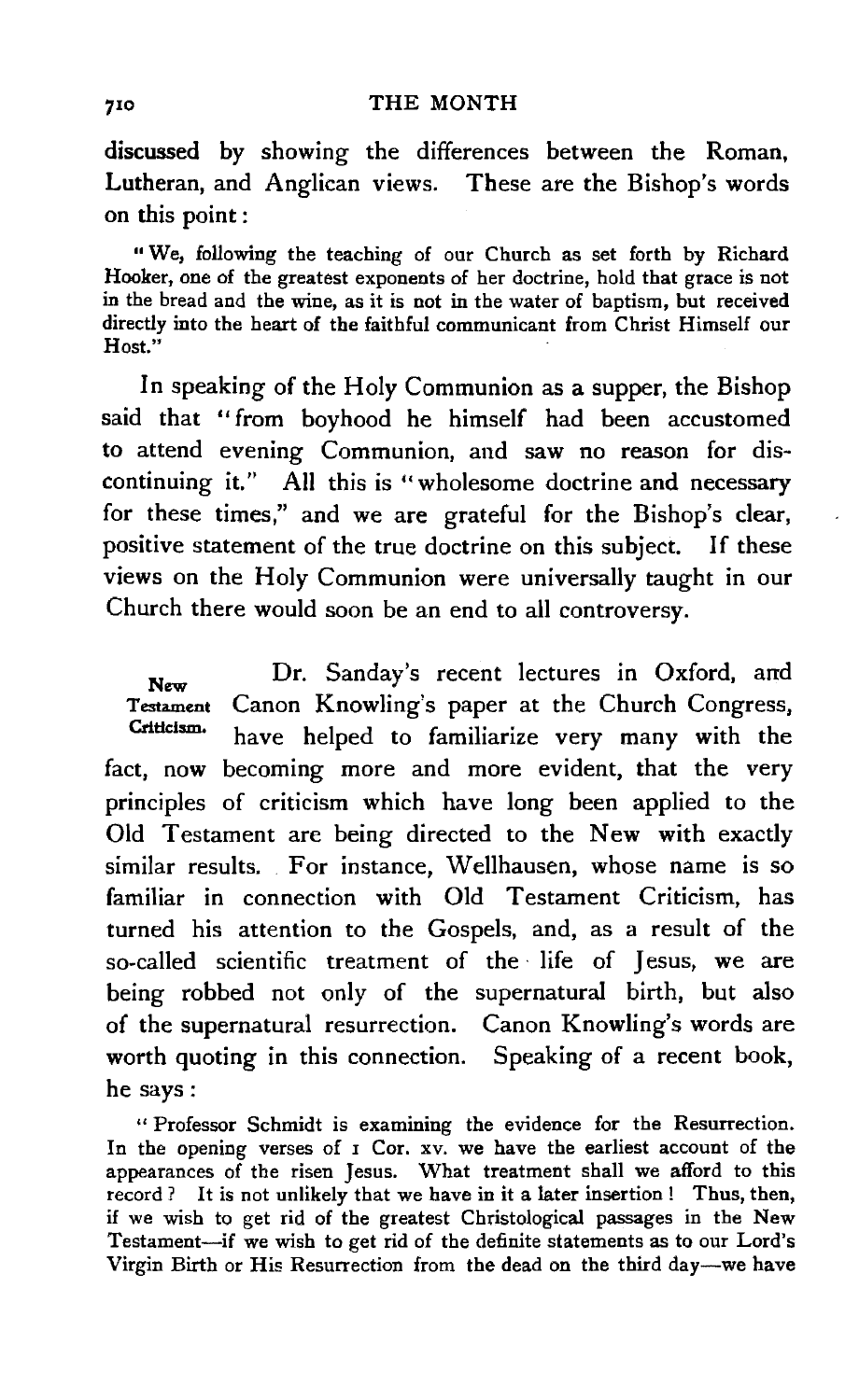discussed by showing the differences between the Roman, Lutheran, and Anglican views. These are the Bishop's words on this point:

"We, following the teaching of our Church as set forth by Richard Hooker, one of the greatest exponents of her doctrine, hold that grace is not in the bread and the wine, as it is not in the water of baptism, but received directly into the heart of the faithful communicant from Christ Himself our Host."

In speaking of the Holy Communion as a supper, the Bishop said that "from boyhood he himself had been accustomed to attend evening Communion, and saw no reason for discontinuing it." All this is "wholesome doctrine and necessary for these times," and we are grateful for the Bishop's clear, positive statement of the true doctrine on this subject. If these views on the Holy Communion were universally taught in our Church there would soon be an end to all controversy.

New Testament Canon Knowling's paper at the Church Congress, Criticism. Dr. Sanday's recent lectures in Oxford, and have helped to familiarize very many with the fact, now becoming more and more evident, that the very principles of criticism which have long been applied to the Old Testament are being directed to the New with exactly similar results. For instance, Wellhausen, whose name is so familiar in connection with Old Testament Criticism, has turned his attention to the Gospels, and, as a result of the so-called scientific treatment of the life of Jesus, we are being robbed not only of the supernatural birth, but also of the supernatural resurrection. Canon Knowling's words are worth quoting in this connection. Speaking of a recent book, he says:

" Professor Schmidt is examining the evidence for the Resurrection. In the opening verses of I Cor. xv. we have the earliest account of the appearances of the risen Jesus. What treatment shall we afford to this record ? It is not unlikely that we have in it a later insertion ! Thus, then, if we wish to get rid of the greatest Christological passages in the New Testament-if we wish to get rid of the definite statements as to our Lord's Virgin Birth or His Resurrection from the dead on the third day-we have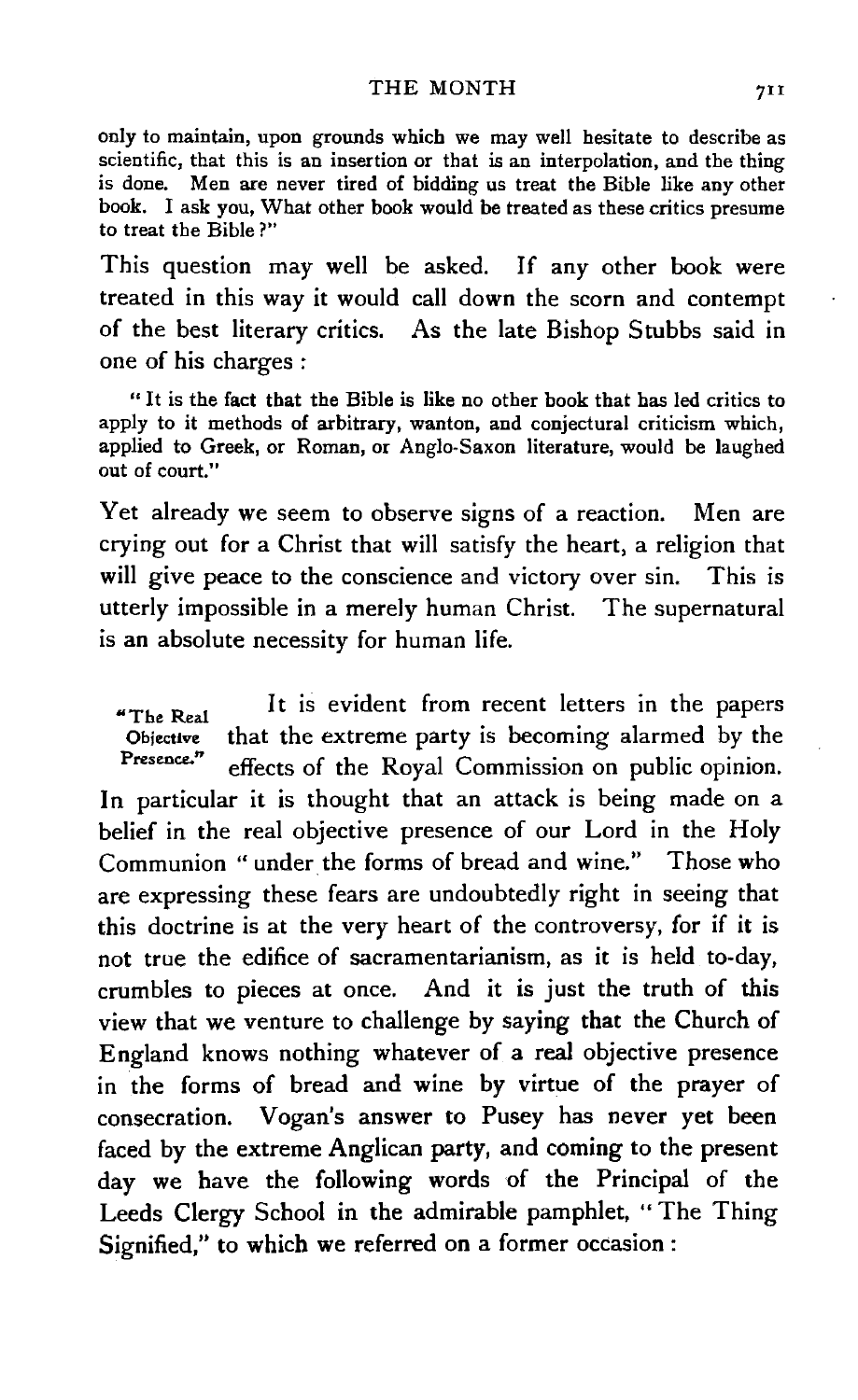only to maintain, upon grounds which we may well hesitate to describe as scientific, that this is an insertion or that is an interpolation, and the thing is done. Men are never tired of bidding us treat the Bible like any other book. I ask you, What other book would be treated as these critics presume to treat the Bible?"

This question may well be asked. If any other book were treated in this way it would call down the scorn and contempt of the best literary critics. As the late Bishop Stubbs said in one of his charges :

" It is the fact that the Bible is like no other book that has led critics to apply to it methods of arbitrary, wanton, and conjectural criticism which, applied to Greek, or Roman, or Anglo.Saxon literature, would be laughed out of court."

Yet already we seem to observe signs of a reaction. Men are crying out for a Christ that will satisfy the heart, a religion that will give peace to the conscience and victory over sin. This is utterly impossible in a merely human Christ. The supernatural is an absolute necessity for human life.

"The Real Objective Presence.'' It is evident from recent letters in the papers that the extreme party is becoming alarmed by the effects of the Royal Commission on public opinion. In particular it is thought that an attack is being made on a belief in the real objective presence of our Lord in the Holy Communion "under the forms of bread and wine." Those who are expressing these fears are undoubtedly right in seeing that this doctrine is at the very heart of the controversy, for if it is not true the edifice of sacramentarianism, as it is held to-day, crumbles to pieces at once. And it is just the truth of this view that we venture to challenge by saying that the Church of England knows nothing whatever of a real objective presence in the forms of bread and wine by virtue of the prayer of consecration. Vogan's answer to Pusey has never yet been faced by the extreme Anglican party, and coming to the present day we have the following words of the Principal of the Leeds Clergy School in the admirable pamphlet, " The Thing Signified," to which we referred on a former occasion :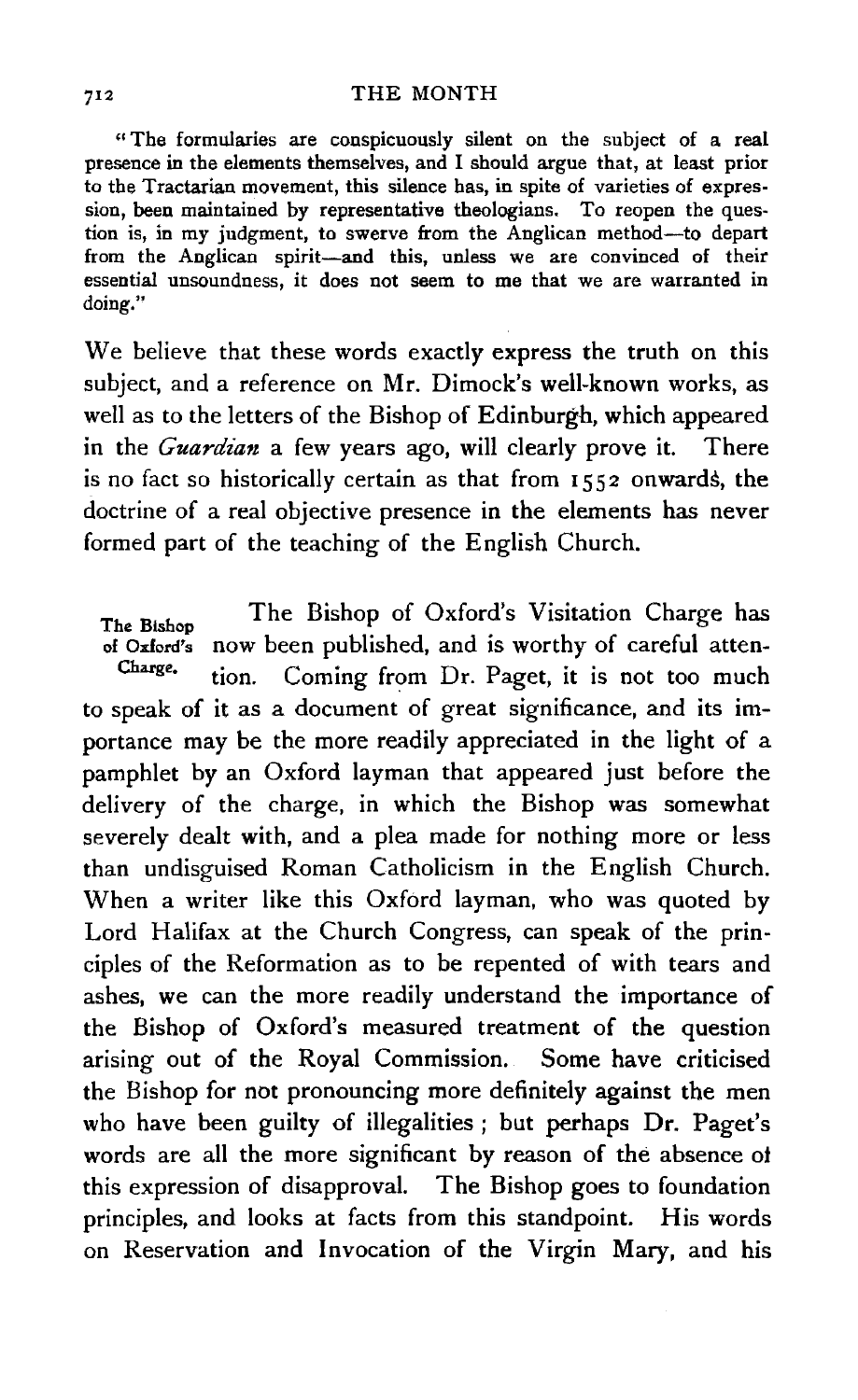" The formularies are conspicuously silent on the subject of a real presence in the elements themselves, and I should argue that, at least prior to the Tractarian movement, this silence has, in spite of varieties of expression, been maintained by representative theologians. To reopen the question is, in my judgment, to swerve from the Anglican method-to depart from the Anglican spirit-and this, unless we are convinced of their essential unsoundness, it does not seem to me that we are warranted in doing."

We believe that these words exactly express the truth on this subject, and a reference on Mr. Dimock's well-known works, as well as to the letters of the Bishop of Edinburgh, which appeared in the *Guardian* a few years ago, will clearly prove it. There is no fact so historically certain as that from 1552 onwards, the doctrine of a real objective presence in the elements has never formed part of the teaching of the English Church.

The Bishop of Oxford's now been published, and is worthy of careful atten-Charge. The Bishop of Oxford's Visitation Charge has tion. Coming from Dr. Paget, it is not too much to speak of it as a document of great significance, and its importance may be the more readily appreciated in the light of a pamphlet by an Oxford layman that appeared just before the delivery of the charge, in which the Bishop was somewhat severely dealt with, and a plea made for nothing more or less than undisguised Roman Catholicism in the English Church. When a writer like this Oxford layman, who was quoted by Lord Halifax at the Church Congress, can speak of the principles of the Reformation as to be repented of with tears and ashes, we can the more readily understand the importance of the Bishop of Oxford's measured treatment of the question arising out of the Royal Commission. Some have criticised the Bishop for not pronouncing more definitely against the men who have been guilty of illegalities; but perhaps Dr. Paget's words are all the more significant by reason of the absence of this expression of disapproval. The Bishop goes to foundation principles, and looks at facts from this standpoint. His words on Reservation and Invocation of the Virgin Mary, and his